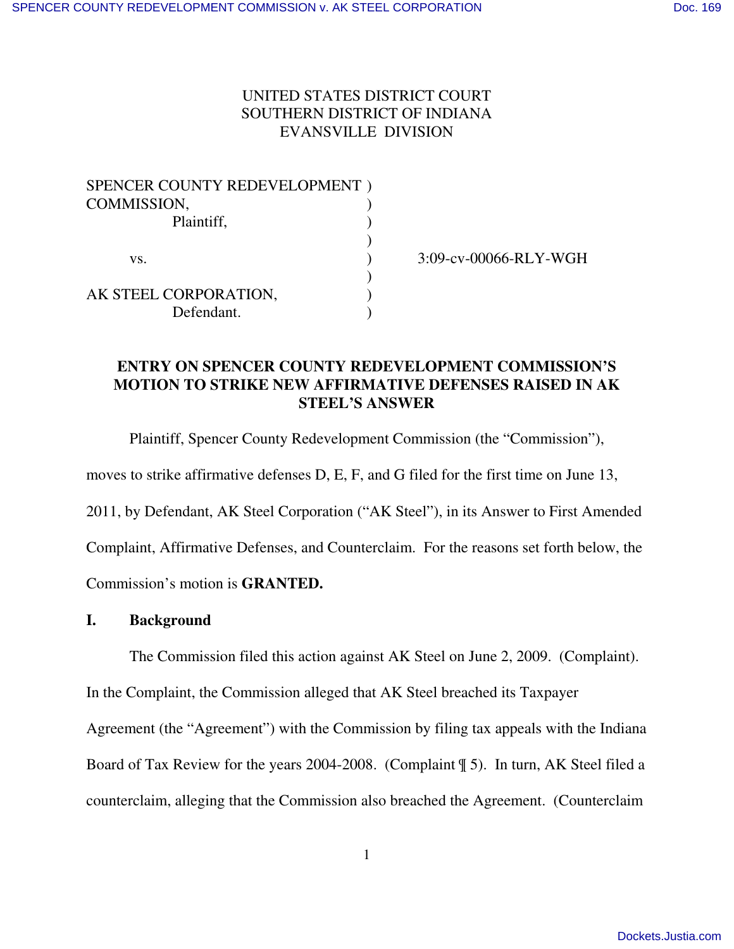# UNITED STATES DISTRICT COURT SOUTHERN DISTRICT OF INDIANA EVANSVILLE DIVISION

| SPENCER COUNTY REDEVELOPMENT) |  |
|-------------------------------|--|
| COMMISSION,                   |  |
| Plaintiff,                    |  |
|                               |  |
| VS.                           |  |
|                               |  |
| AK STEEL CORPORATION,         |  |
| Defendant.                    |  |

) 3:09-cv-00066-RLY-WGH

# **ENTRY ON SPENCER COUNTY REDEVELOPMENT COMMISSION'S MOTION TO STRIKE NEW AFFIRMATIVE DEFENSES RAISED IN AK STEEL'S ANSWER**

Plaintiff, Spencer County Redevelopment Commission (the "Commission"),

moves to strike affirmative defenses D, E, F, and G filed for the first time on June 13,

2011, by Defendant, AK Steel Corporation ("AK Steel"), in its Answer to First Amended

Complaint, Affirmative Defenses, and Counterclaim. For the reasons set forth below, the

Commission's motion is **GRANTED.**

# **I. Background**

The Commission filed this action against AK Steel on June 2, 2009. (Complaint).

In the Complaint, the Commission alleged that AK Steel breached its Taxpayer

Agreement (the "Agreement") with the Commission by filing tax appeals with the Indiana

Board of Tax Review for the years 2004-2008. (Complaint ¶ 5). In turn, AK Steel filed a

counterclaim, alleging that the Commission also breached the Agreement. (Counterclaim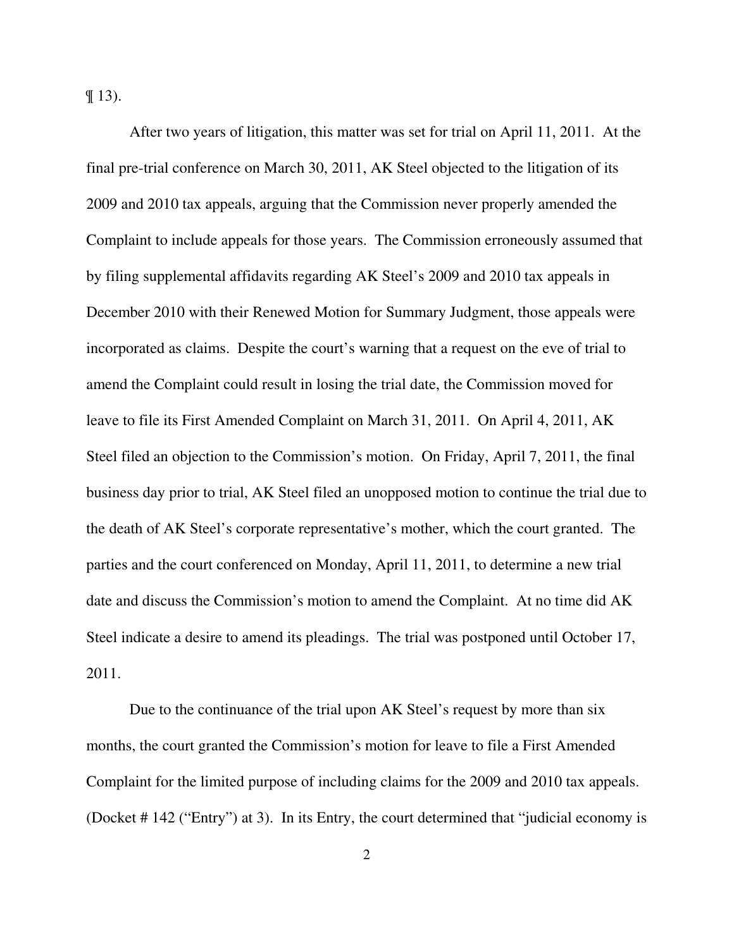$\P$  13).

After two years of litigation, this matter was set for trial on April 11, 2011. At the final pre-trial conference on March 30, 2011, AK Steel objected to the litigation of its 2009 and 2010 tax appeals, arguing that the Commission never properly amended the Complaint to include appeals for those years. The Commission erroneously assumed that by filing supplemental affidavits regarding AK Steel's 2009 and 2010 tax appeals in December 2010 with their Renewed Motion for Summary Judgment, those appeals were incorporated as claims. Despite the court's warning that a request on the eve of trial to amend the Complaint could result in losing the trial date, the Commission moved for leave to file its First Amended Complaint on March 31, 2011. On April 4, 2011, AK Steel filed an objection to the Commission's motion. On Friday, April 7, 2011, the final business day prior to trial, AK Steel filed an unopposed motion to continue the trial due to the death of AK Steel's corporate representative's mother, which the court granted. The parties and the court conferenced on Monday, April 11, 2011, to determine a new trial date and discuss the Commission's motion to amend the Complaint. At no time did AK Steel indicate a desire to amend its pleadings. The trial was postponed until October 17, 2011.

Due to the continuance of the trial upon AK Steel's request by more than six months, the court granted the Commission's motion for leave to file a First Amended Complaint for the limited purpose of including claims for the 2009 and 2010 tax appeals. (Docket # 142 ("Entry") at 3). In its Entry, the court determined that "judicial economy is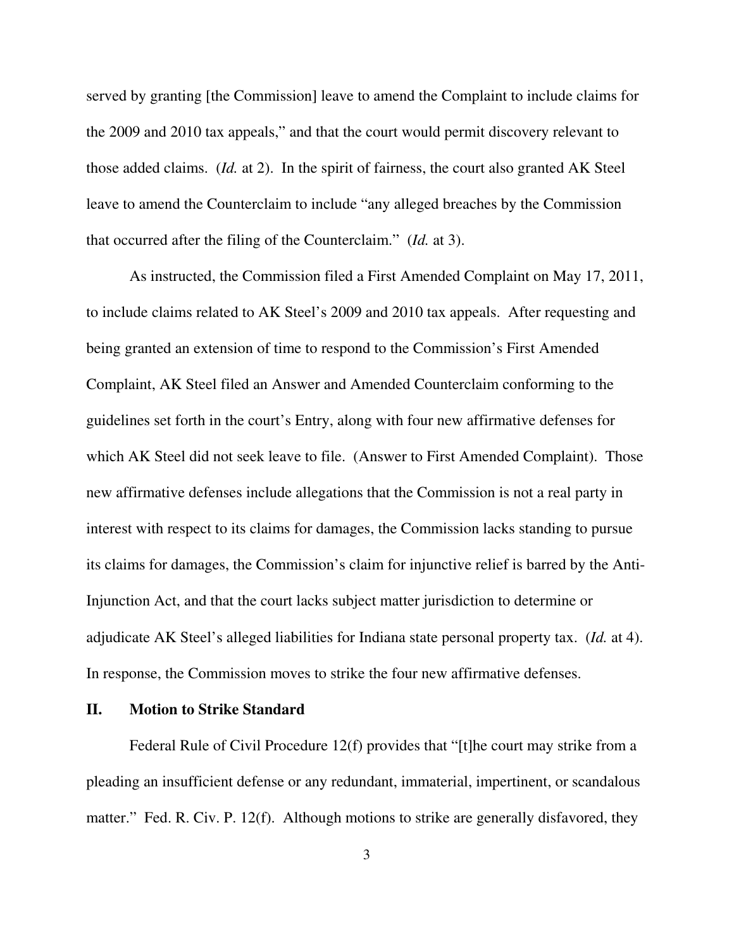served by granting [the Commission] leave to amend the Complaint to include claims for the 2009 and 2010 tax appeals," and that the court would permit discovery relevant to those added claims. (*Id.* at 2). In the spirit of fairness, the court also granted AK Steel leave to amend the Counterclaim to include "any alleged breaches by the Commission that occurred after the filing of the Counterclaim." (*Id.* at 3).

As instructed, the Commission filed a First Amended Complaint on May 17, 2011, to include claims related to AK Steel's 2009 and 2010 tax appeals. After requesting and being granted an extension of time to respond to the Commission's First Amended Complaint, AK Steel filed an Answer and Amended Counterclaim conforming to the guidelines set forth in the court's Entry, along with four new affirmative defenses for which AK Steel did not seek leave to file. (Answer to First Amended Complaint). Those new affirmative defenses include allegations that the Commission is not a real party in interest with respect to its claims for damages, the Commission lacks standing to pursue its claims for damages, the Commission's claim for injunctive relief is barred by the Anti-Injunction Act, and that the court lacks subject matter jurisdiction to determine or adjudicate AK Steel's alleged liabilities for Indiana state personal property tax. (*Id.* at 4). In response, the Commission moves to strike the four new affirmative defenses.

### **II. Motion to Strike Standard**

Federal Rule of Civil Procedure 12(f) provides that "[t]he court may strike from a pleading an insufficient defense or any redundant, immaterial, impertinent, or scandalous matter." Fed. R. Civ. P. 12(f). Although motions to strike are generally disfavored, they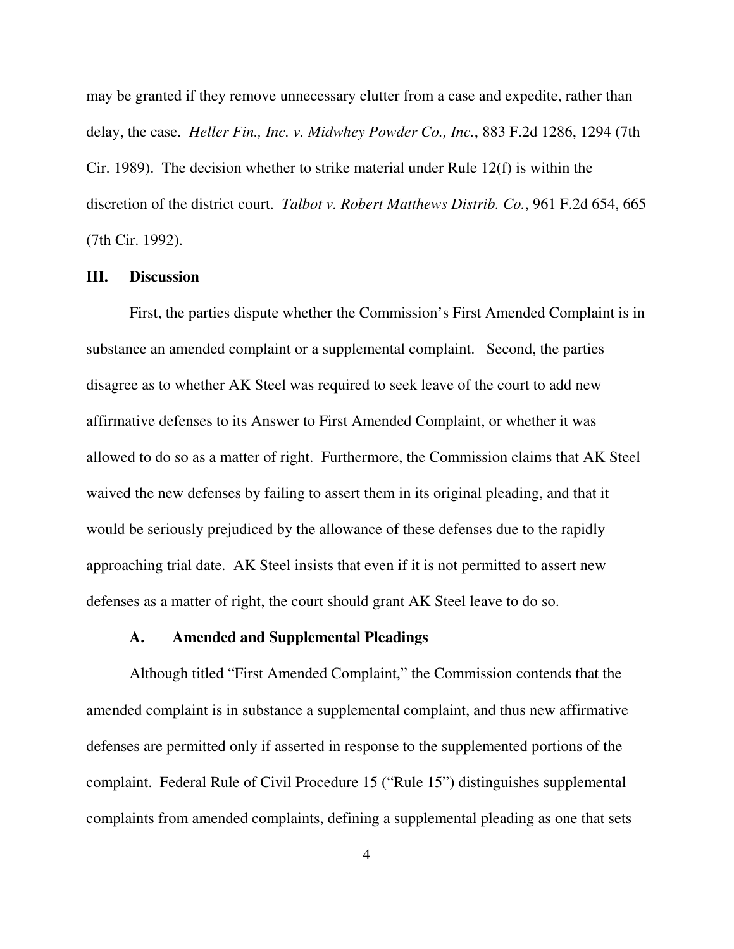may be granted if they remove unnecessary clutter from a case and expedite, rather than delay, the case. *Heller Fin., Inc. v. Midwhey Powder Co., Inc.*, 883 F.2d 1286, 1294 (7th Cir. 1989). The decision whether to strike material under Rule  $12(f)$  is within the discretion of the district court. *Talbot v. Robert Matthews Distrib. Co.*, 961 F.2d 654, 665 (7th Cir. 1992).

## **III. Discussion**

First, the parties dispute whether the Commission's First Amended Complaint is in substance an amended complaint or a supplemental complaint. Second, the parties disagree as to whether AK Steel was required to seek leave of the court to add new affirmative defenses to its Answer to First Amended Complaint, or whether it was allowed to do so as a matter of right. Furthermore, the Commission claims that AK Steel waived the new defenses by failing to assert them in its original pleading, and that it would be seriously prejudiced by the allowance of these defenses due to the rapidly approaching trial date. AK Steel insists that even if it is not permitted to assert new defenses as a matter of right, the court should grant AK Steel leave to do so.

### **A. Amended and Supplemental Pleadings**

Although titled "First Amended Complaint," the Commission contends that the amended complaint is in substance a supplemental complaint, and thus new affirmative defenses are permitted only if asserted in response to the supplemented portions of the complaint. Federal Rule of Civil Procedure 15 ("Rule 15") distinguishes supplemental complaints from amended complaints, defining a supplemental pleading as one that sets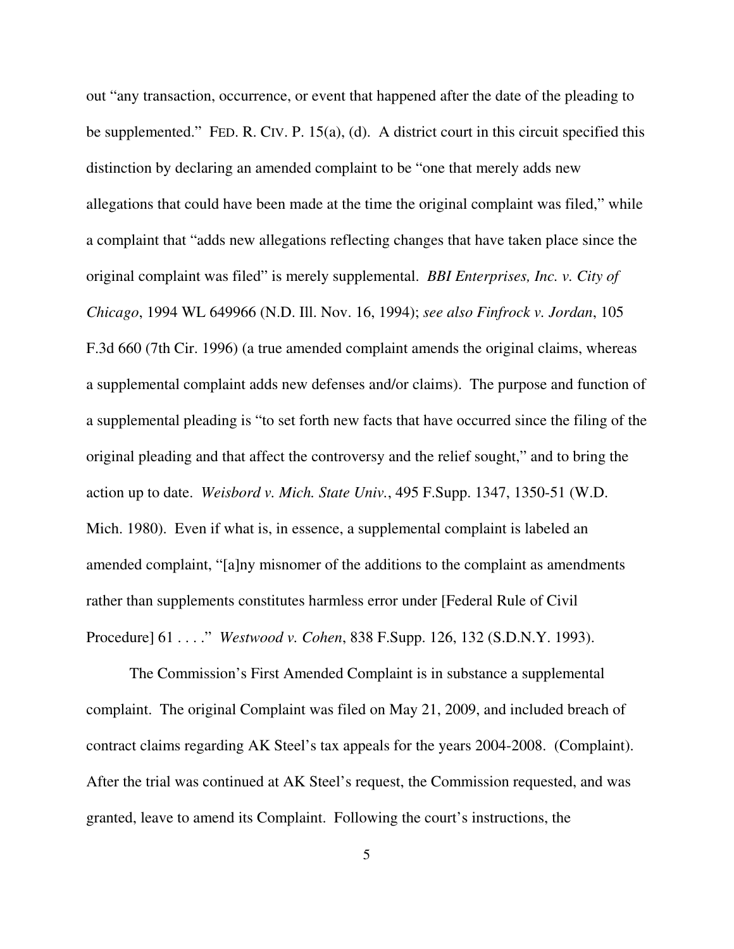out "any transaction, occurrence, or event that happened after the date of the pleading to be supplemented." FED. R. CIV. P. 15(a), (d). A district court in this circuit specified this distinction by declaring an amended complaint to be "one that merely adds new allegations that could have been made at the time the original complaint was filed," while a complaint that "adds new allegations reflecting changes that have taken place since the original complaint was filed" is merely supplemental. *BBI Enterprises, Inc. v. City of Chicago*, 1994 WL 649966 (N.D. Ill. Nov. 16, 1994); *see also Finfrock v. Jordan*, 105 F.3d 660 (7th Cir. 1996) (a true amended complaint amends the original claims, whereas a supplemental complaint adds new defenses and/or claims). The purpose and function of a supplemental pleading is "to set forth new facts that have occurred since the filing of the original pleading and that affect the controversy and the relief sought," and to bring the action up to date. *Weisbord v. Mich. State Univ.*, 495 F.Supp. 1347, 1350-51 (W.D. Mich. 1980). Even if what is, in essence, a supplemental complaint is labeled an amended complaint, "[a]ny misnomer of the additions to the complaint as amendments rather than supplements constitutes harmless error under [Federal Rule of Civil Procedure] 61 . . . ." *Westwood v. Cohen*, 838 F.Supp. 126, 132 (S.D.N.Y. 1993).

The Commission's First Amended Complaint is in substance a supplemental complaint. The original Complaint was filed on May 21, 2009, and included breach of contract claims regarding AK Steel's tax appeals for the years 2004-2008. (Complaint). After the trial was continued at AK Steel's request, the Commission requested, and was granted, leave to amend its Complaint. Following the court's instructions, the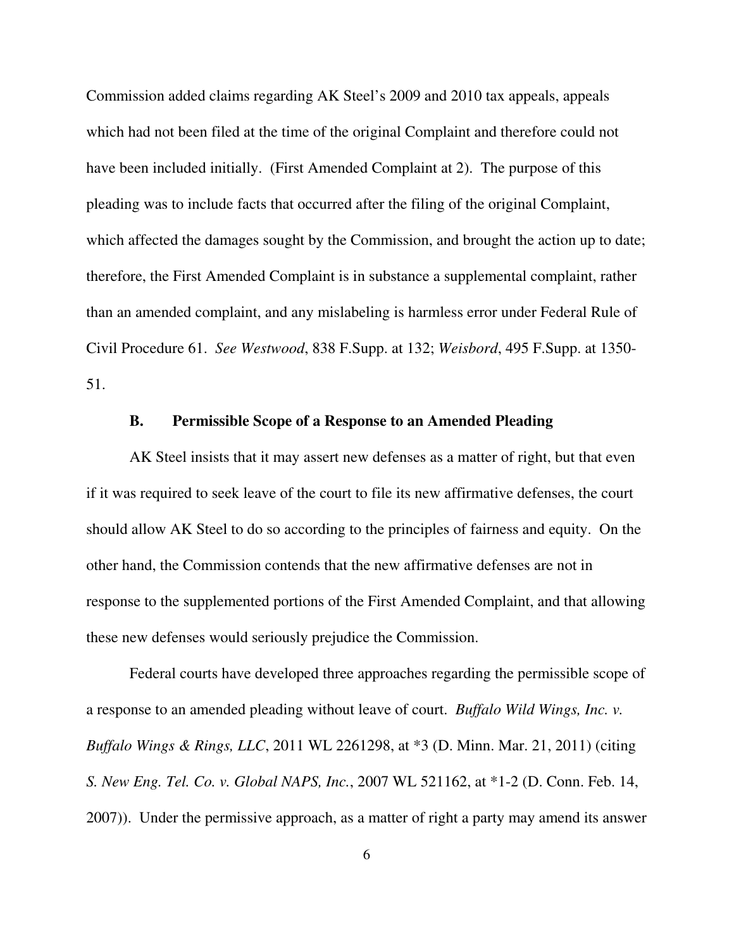Commission added claims regarding AK Steel's 2009 and 2010 tax appeals, appeals which had not been filed at the time of the original Complaint and therefore could not have been included initially. (First Amended Complaint at 2). The purpose of this pleading was to include facts that occurred after the filing of the original Complaint, which affected the damages sought by the Commission, and brought the action up to date; therefore, the First Amended Complaint is in substance a supplemental complaint, rather than an amended complaint, and any mislabeling is harmless error under Federal Rule of Civil Procedure 61. *See Westwood*, 838 F.Supp. at 132; *Weisbord*, 495 F.Supp. at 1350- 51.

## **B. Permissible Scope of a Response to an Amended Pleading**

AK Steel insists that it may assert new defenses as a matter of right, but that even if it was required to seek leave of the court to file its new affirmative defenses, the court should allow AK Steel to do so according to the principles of fairness and equity. On the other hand, the Commission contends that the new affirmative defenses are not in response to the supplemented portions of the First Amended Complaint, and that allowing these new defenses would seriously prejudice the Commission.

Federal courts have developed three approaches regarding the permissible scope of a response to an amended pleading without leave of court. *Buffalo Wild Wings, Inc. v. Buffalo Wings & Rings, LLC*, 2011 WL 2261298, at \*3 (D. Minn. Mar. 21, 2011) (citing *S. New Eng. Tel. Co. v. Global NAPS, Inc.*, 2007 WL 521162, at \*1-2 (D. Conn. Feb. 14, 2007)). Under the permissive approach, as a matter of right a party may amend its answer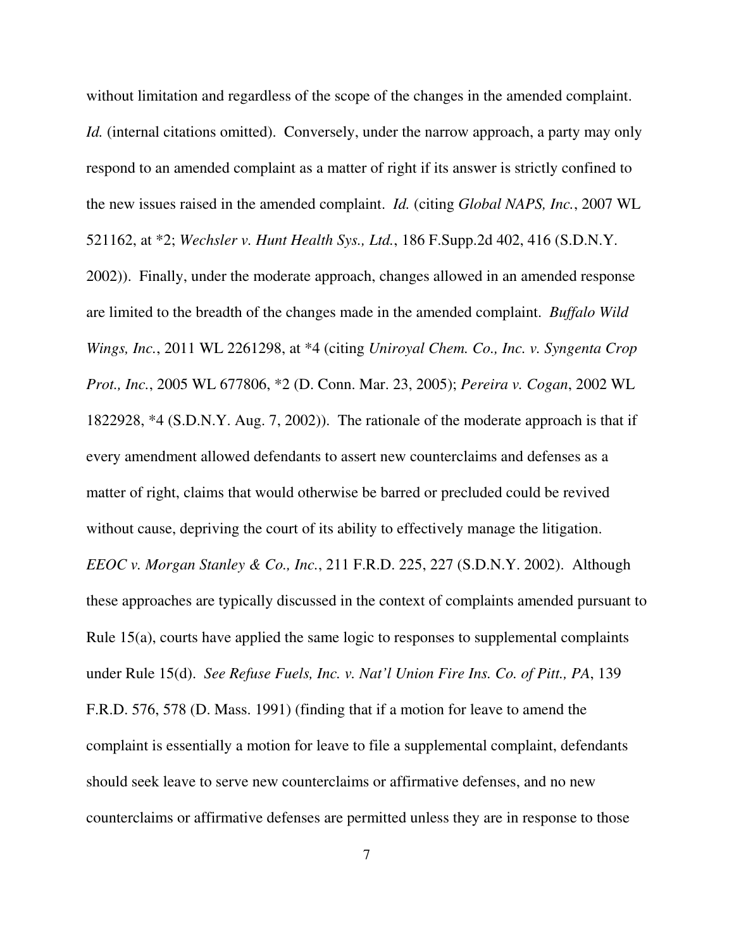without limitation and regardless of the scope of the changes in the amended complaint. *Id.* (internal citations omitted).Conversely, under the narrow approach, a party may only respond to an amended complaint as a matter of right if its answer is strictly confined to the new issues raised in the amended complaint. *Id.* (citing *Global NAPS, Inc.*, 2007 WL 521162, at \*2; *Wechsler v. Hunt Health Sys., Ltd.*, 186 F.Supp.2d 402, 416 (S.D.N.Y. 2002)). Finally, under the moderate approach, changes allowed in an amended response are limited to the breadth of the changes made in the amended complaint. *Buffalo Wild Wings, Inc.*, 2011 WL 2261298, at \*4 (citing *Uniroyal Chem. Co., Inc. v. Syngenta Crop Prot., Inc.*, 2005 WL 677806, \*2 (D. Conn. Mar. 23, 2005); *Pereira v. Cogan*, 2002 WL 1822928, \*4 (S.D.N.Y. Aug. 7, 2002)). The rationale of the moderate approach is that if every amendment allowed defendants to assert new counterclaims and defenses as a matter of right, claims that would otherwise be barred or precluded could be revived without cause, depriving the court of its ability to effectively manage the litigation. *EEOC v. Morgan Stanley & Co., Inc.*, 211 F.R.D. 225, 227 (S.D.N.Y. 2002). Although these approaches are typically discussed in the context of complaints amended pursuant to Rule 15(a), courts have applied the same logic to responses to supplemental complaints under Rule 15(d). *See Refuse Fuels, Inc. v. Nat'l Union Fire Ins. Co. of Pitt., PA*, 139 F.R.D. 576, 578 (D. Mass. 1991) (finding that if a motion for leave to amend the complaint is essentially a motion for leave to file a supplemental complaint, defendants should seek leave to serve new counterclaims or affirmative defenses, and no new counterclaims or affirmative defenses are permitted unless they are in response to those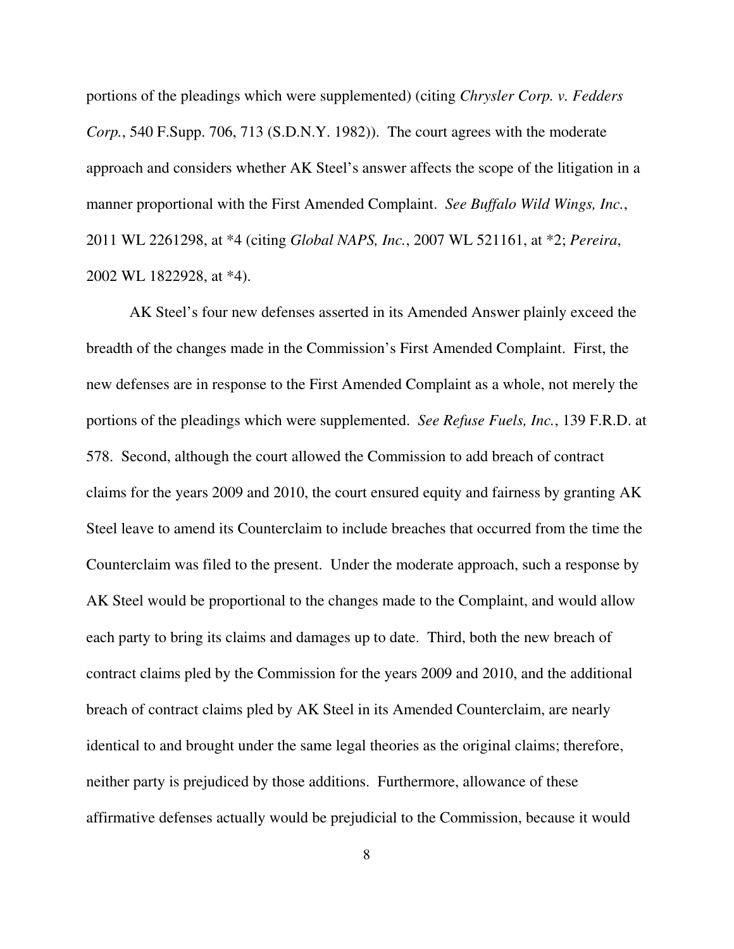portions of the pleadings which were supplemented) (citing *Chrysler Corp. v. Fedders Corp.*, 540 F.Supp. 706, 713 (S.D.N.Y. 1982)). The court agrees with the moderate approach and considers whether AK Steel's answer affects the scope of the litigation in a manner proportional with the First Amended Complaint. *See Buffalo Wild Wings, Inc.*, 2011 WL 2261298, at \*4 (citing *Global NAPS, Inc.*, 2007 WL 521161, at \*2; *Pereira*, 2002 WL 1822928, at \*4).

AK Steel's four new defenses asserted in its Amended Answer plainly exceed the breadth of the changes made in the Commission's First Amended Complaint. First, the new defenses are in response to the First Amended Complaint as a whole, not merely the portions of the pleadings which were supplemented. *See Refuse Fuels, Inc.*, 139 F.R.D. at 578. Second, although the court allowed the Commission to add breach of contract claims for the years 2009 and 2010, the court ensured equity and fairness by granting AK Steel leave to amend its Counterclaim to include breaches that occurred from the time the Counterclaim was filed to the present. Under the moderate approach, such a response by AK Steel would be proportional to the changes made to the Complaint, and would allow each party to bring its claims and damages up to date. Third, both the new breach of contract claims pled by the Commission for the years 2009 and 2010, and the additional breach of contract claims pled by AK Steel in its Amended Counterclaim, are nearly identical to and brought under the same legal theories as the original claims; therefore, neither party is prejudiced by those additions. Furthermore, allowance of these affirmative defenses actually would be prejudicial to the Commission, because it would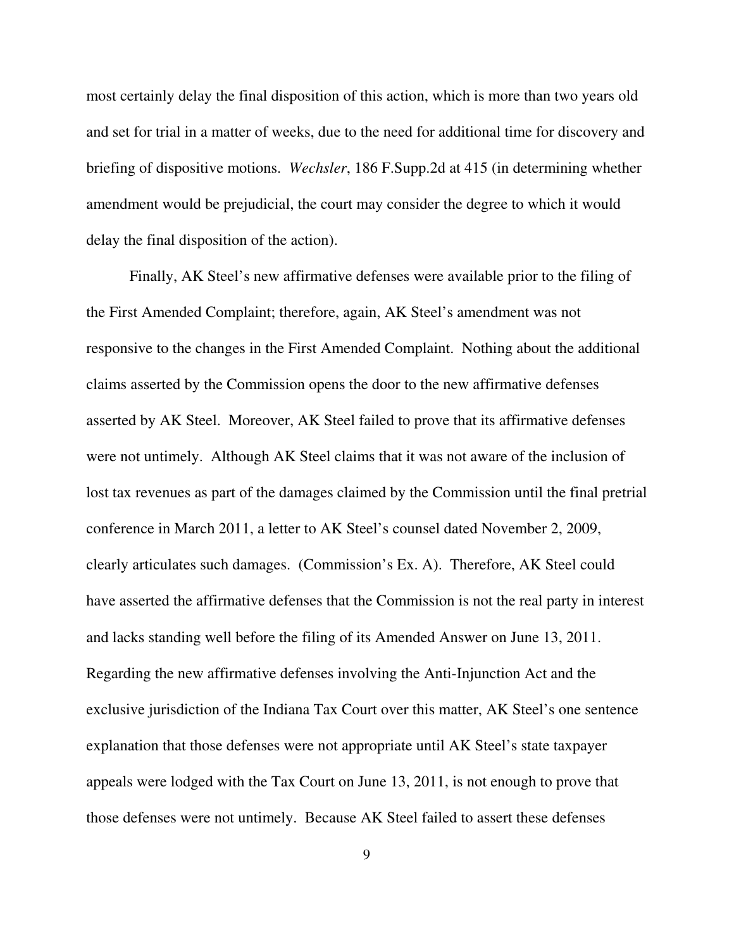most certainly delay the final disposition of this action, which is more than two years old and set for trial in a matter of weeks, due to the need for additional time for discovery and briefing of dispositive motions. *Wechsler*, 186 F.Supp.2d at 415 (in determining whether amendment would be prejudicial, the court may consider the degree to which it would delay the final disposition of the action).

Finally, AK Steel's new affirmative defenses were available prior to the filing of the First Amended Complaint; therefore, again, AK Steel's amendment was not responsive to the changes in the First Amended Complaint. Nothing about the additional claims asserted by the Commission opens the door to the new affirmative defenses asserted by AK Steel. Moreover, AK Steel failed to prove that its affirmative defenses were not untimely. Although AK Steel claims that it was not aware of the inclusion of lost tax revenues as part of the damages claimed by the Commission until the final pretrial conference in March 2011, a letter to AK Steel's counsel dated November 2, 2009, clearly articulates such damages. (Commission's Ex. A). Therefore, AK Steel could have asserted the affirmative defenses that the Commission is not the real party in interest and lacks standing well before the filing of its Amended Answer on June 13, 2011. Regarding the new affirmative defenses involving the Anti-Injunction Act and the exclusive jurisdiction of the Indiana Tax Court over this matter, AK Steel's one sentence explanation that those defenses were not appropriate until AK Steel's state taxpayer appeals were lodged with the Tax Court on June 13, 2011, is not enough to prove that those defenses were not untimely. Because AK Steel failed to assert these defenses

9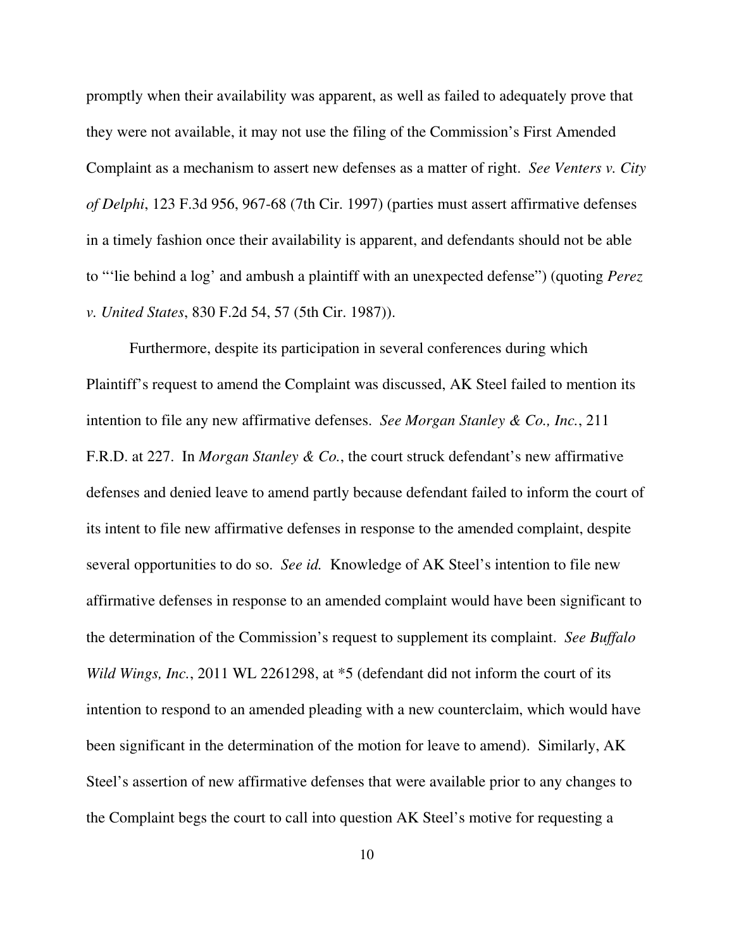promptly when their availability was apparent, as well as failed to adequately prove that they were not available, it may not use the filing of the Commission's First Amended Complaint as a mechanism to assert new defenses as a matter of right. *See Venters v. City of Delphi*, 123 F.3d 956, 967-68 (7th Cir. 1997) (parties must assert affirmative defenses in a timely fashion once their availability is apparent, and defendants should not be able to "'lie behind a log' and ambush a plaintiff with an unexpected defense") (quoting *Perez v. United States*, 830 F.2d 54, 57 (5th Cir. 1987)).

Furthermore, despite its participation in several conferences during which Plaintiff's request to amend the Complaint was discussed, AK Steel failed to mention its intention to file any new affirmative defenses. *See Morgan Stanley & Co., Inc.*, 211 F.R.D. at 227. In *Morgan Stanley & Co.*, the court struck defendant's new affirmative defenses and denied leave to amend partly because defendant failed to inform the court of its intent to file new affirmative defenses in response to the amended complaint, despite several opportunities to do so. *See id.* Knowledge of AK Steel's intention to file new affirmative defenses in response to an amended complaint would have been significant to the determination of the Commission's request to supplement its complaint. *See Buffalo Wild Wings, Inc.*, 2011 WL 2261298, at \*5 (defendant did not inform the court of its intention to respond to an amended pleading with a new counterclaim, which would have been significant in the determination of the motion for leave to amend). Similarly, AK Steel's assertion of new affirmative defenses that were available prior to any changes to the Complaint begs the court to call into question AK Steel's motive for requesting a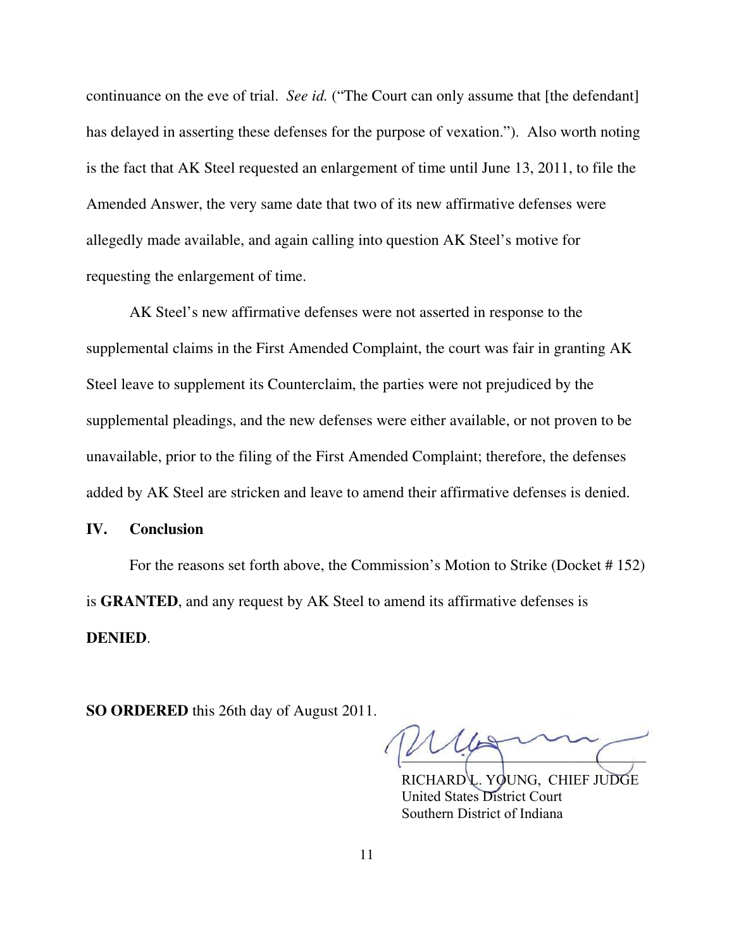continuance on the eve of trial. *See id.* ("The Court can only assume that [the defendant] has delayed in asserting these defenses for the purpose of vexation."). Also worth noting is the fact that AK Steel requested an enlargement of time until June 13, 2011, to file the Amended Answer, the very same date that two of its new affirmative defenses were allegedly made available, and again calling into question AK Steel's motive for requesting the enlargement of time.

AK Steel's new affirmative defenses were not asserted in response to the supplemental claims in the First Amended Complaint, the court was fair in granting AK Steel leave to supplement its Counterclaim, the parties were not prejudiced by the supplemental pleadings, and the new defenses were either available, or not proven to be unavailable, prior to the filing of the First Amended Complaint; therefore, the defenses added by AK Steel are stricken and leave to amend their affirmative defenses is denied.

#### **IV. Conclusion**

For the reasons set forth above, the Commission's Motion to Strike (Docket # 152) is **GRANTED**, and any request by AK Steel to amend its affirmative defenses is **DENIED**.

**SO ORDERED** this 26th day of August 2011.

 RICHARD L. YOUNG, CHIEF JUDGE  $\overline{\phantom{a}}$ 

RICHARD L. YOUNG, CHIEF JUDGE United States District Court Southern District of Indiana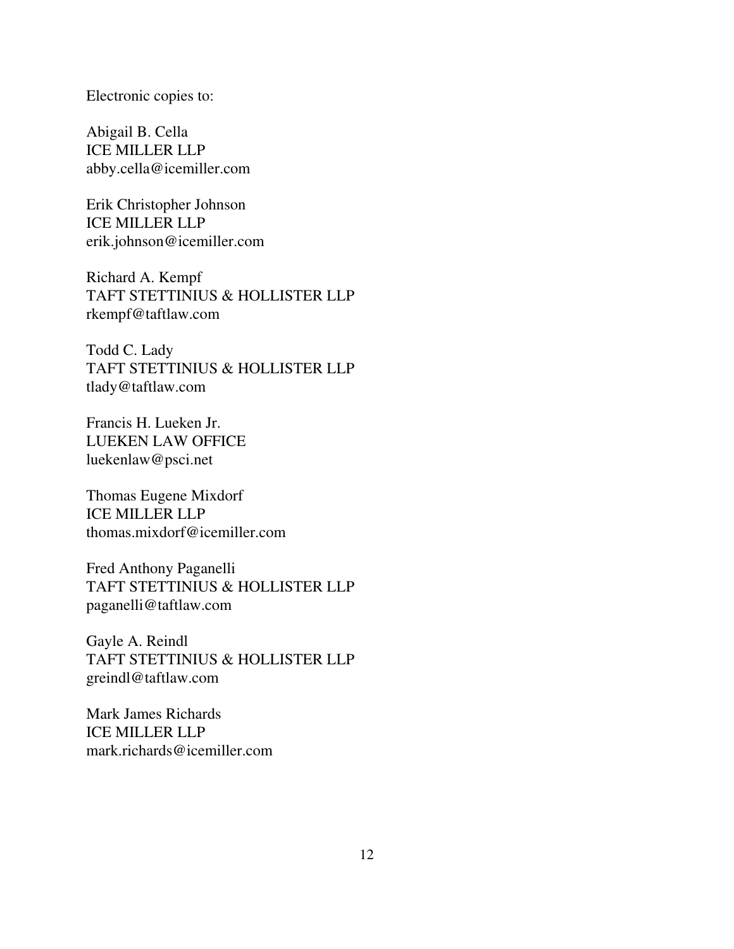Electronic copies to:

Abigail B. Cella ICE MILLER LLP abby.cella@icemiller.com

Erik Christopher Johnson ICE MILLER LLP erik.johnson@icemiller.com

Richard A. Kempf TAFT STETTINIUS & HOLLISTER LLP rkempf@taftlaw.com

Todd C. Lady TAFT STETTINIUS & HOLLISTER LLP tlady@taftlaw.com

Francis H. Lueken Jr. LUEKEN LAW OFFICE luekenlaw@psci.net

Thomas Eugene Mixdorf ICE MILLER LLP thomas.mixdorf@icemiller.com

Fred Anthony Paganelli TAFT STETTINIUS & HOLLISTER LLP paganelli@taftlaw.com

Gayle A. Reindl TAFT STETTINIUS & HOLLISTER LLP greindl@taftlaw.com

Mark James Richards ICE MILLER LLP mark.richards@icemiller.com